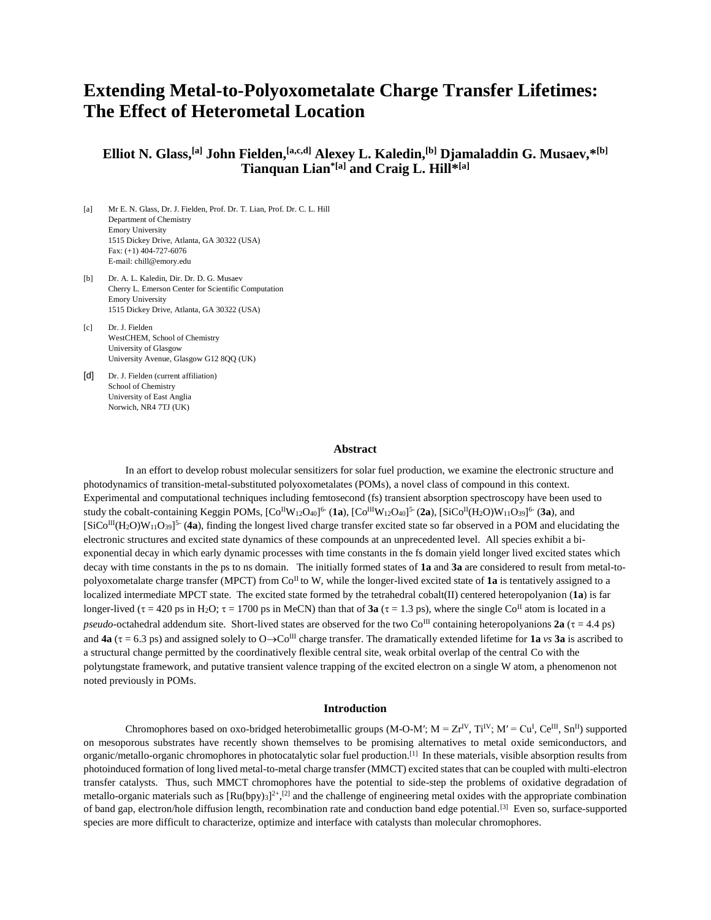# **Extending Metal-to-Polyoxometalate Charge Transfer Lifetimes: The Effect of Heterometal Location**

# **Elliot N. Glass,[a] John Fielden,[a,c,d] Alexey L. Kaledin,[b] Djamaladdin G. Musaev,\*[b] Tianquan Lian\*[a] and Craig L. Hill\*[a]**

- [a] Mr E. N. Glass, Dr. J. Fielden, Prof. Dr. T. Lian, Prof. Dr. C. L. Hill Department of Chemistry Emory University 1515 Dickey Drive, Atlanta, GA 30322 (USA) Fax: (+1) 404-727-6076 E-mail: chill@emory.edu
- [b] Dr. A. L. Kaledin, Dir. Dr. D. G. Musaev Cherry L. Emerson Center for Scientific Computation Emory University 1515 Dickey Drive, Atlanta, GA 30322 (USA)
- [c] Dr. J. Fielden WestCHEM, School of Chemistry University of Glasgow University Avenue, Glasgow G12 8QQ (UK)
- [d] Dr. J. Fielden (current affiliation) School of Chemistry University of East Anglia Norwich, NR4 7TJ (UK)

#### **Abstract**

In an effort to develop robust molecular sensitizers for solar fuel production, we examine the electronic structure and photodynamics of transition-metal-substituted polyoxometalates (POMs), a novel class of compound in this context. Experimental and computational techniques including femtosecond (fs) transient absorption spectroscopy have been used to study the cobalt-containing Keggin POMs,  $[Co^{II}W_{12}O_{40}]^6$  (**1a**),  $[Co^{III}W_{12}O_{40}]^5$  (**2a**),  $[SiCo^{II}(H_2O)W_{11}O_{39}]^6$  (**3a**), and  $[SiCo^{III}(H_2O)W_{11}O_{39}]^{5}$  (**4a**), finding the longest lived charge transfer excited state so far observed in a POM and elucidating the electronic structures and excited state dynamics of these compounds at an unprecedented level. All species exhibit a biexponential decay in which early dynamic processes with time constants in the fs domain yield longer lived excited states which decay with time constants in the ps to ns domain. The initially formed states of **1a** and **3a** are considered to result from metal-topolyoxometalate charge transfer (MPCT) from Co<sup>II</sup> to W, while the longer-lived excited state of **1a** is tentatively assigned to a localized intermediate MPCT state. The excited state formed by the tetrahedral cobalt(II) centered heteropolyanion (**1a**) is far longer-lived ( $\tau = 420$  ps in H<sub>2</sub>O;  $\tau = 1700$  ps in MeCN) than that of **3a** ( $\tau = 1.3$  ps), where the single Co<sup>II</sup> atom is located in a *pseudo*-octahedral addendum site. Short-lived states are observed for the two Co<sup>III</sup> containing heteropolyanions **2a** ( $\tau$  = 4.4 ps) and **4a** ( $\tau$  = 6.3 ps) and assigned solely to O $\rightarrow$ Co<sup>III</sup> charge transfer. The dramatically extended lifetime for **1a** *vs* **3a** is ascribed to a structural change permitted by the coordinatively flexible central site, weak orbital overlap of the central Co with the polytungstate framework, and putative transient valence trapping of the excited electron on a single W atom, a phenomenon not noted previously in POMs.

#### **Introduction**

Chromophores based on oxo-bridged heterobimetallic groups (M-O-M';  $M = Zr^{IV}$ ,  $Ti^{IV}$ ;  $M' = Cu^{I}$ ,  $Ce^{III}$ ,  $Sn^{II}$ ) supported on mesoporous substrates have recently shown themselves to be promising alternatives to metal oxide semiconductors, and organic/metallo-organic chromophores in photocatalytic solar fuel production.[1] In these materials, visible absorption results from photoinduced formation of long lived metal-to-metal charge transfer (MMCT) excited states that can be coupled with multi-electron transfer catalysts. Thus, such MMCT chromophores have the potential to side-step the problems of oxidative degradation of metallo-organic materials such as  $[Ru(bpy)_3]^{2+}$ ,  $[2]$  and the challenge of engineering metal oxides with the appropriate combination of band gap, electron/hole diffusion length, recombination rate and conduction band edge potential.<sup>[3]</sup> Even so, surface-supported species are more difficult to characterize, optimize and interface with catalysts than molecular chromophores.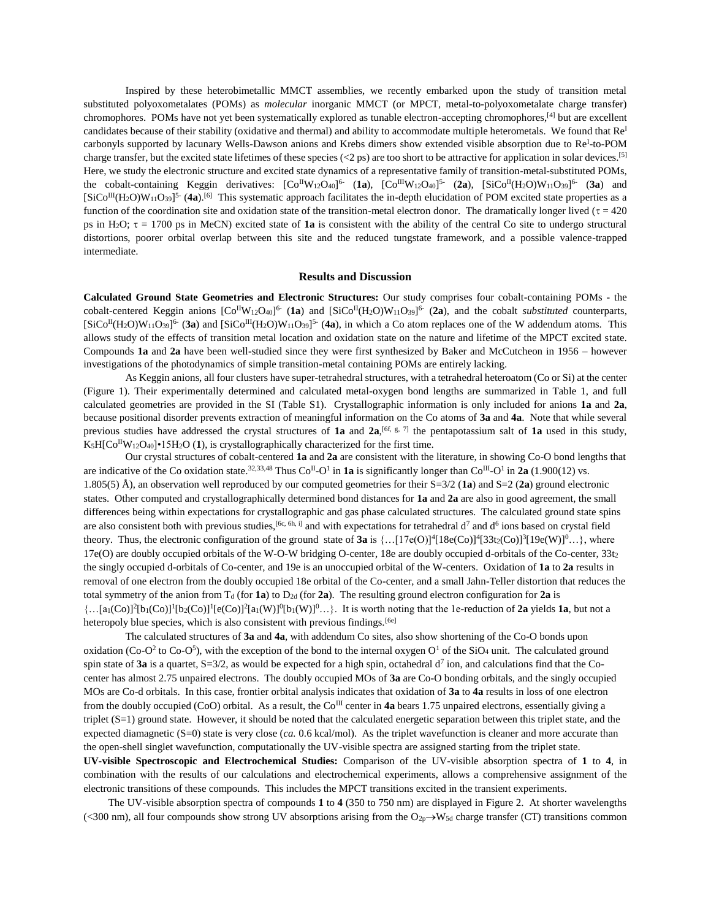Inspired by these heterobimetallic MMCT assemblies, we recently embarked upon the study of transition metal substituted polyoxometalates (POMs) as *molecular* inorganic MMCT (or MPCT, metal-to-polyoxometalate charge transfer) chromophores. POMs have not yet been systematically explored as tunable electron-accepting chromophores,<sup>[4]</sup> but are excellent candidates because of their stability (oxidative and thermal) and ability to accommodate multiple heterometals. We found that  $Re<sup>I</sup>$ carbonyls supported by lacunary Wells-Dawson anions and Krebs dimers show extended visible absorption due to Re<sup>I</sup>-to-POM charge transfer, but the excited state lifetimes of these species (<2 ps) are too short to be attractive for application in solar devices.<sup>[5]</sup> Here, we study the electronic structure and excited state dynamics of a representative family of transition-metal-substituted POMs, the cobalt-containing Keggin derivatives:  $[Co^{I}W_{12}O_{40}]^{6}$  (1a),  $[Co^{I}W_{12}O_{40}]^{5}$  (2a),  $[SiCo^{I}(H_{2}O)W_{11}O_{39}]^{6}$  (3a) and  $[SiCo^{III}(H_2O)W_{11}O_{39}]^{5}$  (4a).<sup>[6]</sup> This systematic approach facilitates the in-depth elucidation of POM excited state properties as a function of the coordination site and oxidation state of the transition-metal electron donor. The dramatically longer lived ( $\tau = 420$ ) ps in H<sub>2</sub>O;  $\tau = 1700$  ps in MeCN) excited state of **1a** is consistent with the ability of the central Co site to undergo structural distortions, poorer orbital overlap between this site and the reduced tungstate framework, and a possible valence-trapped intermediate.

#### **Results and Discussion**

**Calculated Ground State Geometries and Electronic Structures:** Our study comprises four cobalt-containing POMs - the cobalt-centered Keggin anions  $[Co^{II}W_{12}O_{40}]^{6}$  (1a) and  $[SiCo^{II}(H_2O)W_{11}O_{39}]^{6}$  (2a), and the cobalt *substituted* counterparts,  $[SiCo<sup>II</sup>(H<sub>2</sub>O)W<sub>11</sub>O<sub>39</sub>]<sup>6</sup>$  (3a) and  $[SiCo<sup>III</sup>(H<sub>2</sub>O)W<sub>11</sub>O<sub>39</sub>]<sup>5</sup>$  (4a), in which a Co atom replaces one of the W addendum atoms. This allows study of the effects of transition metal location and oxidation state on the nature and lifetime of the MPCT excited state. Compounds **1a** and **2a** have been well-studied since they were first synthesized by Baker and McCutcheon in 1956 – however investigations of the photodynamics of simple transition-metal containing POMs are entirely lacking.

As Keggin anions, all four clusters have super-tetrahedral structures, with a tetrahedral heteroatom (Co or Si) at the center (Figure 1). Their experimentally determined and calculated metal-oxygen bond lengths are summarized in Table 1, and full calculated geometries are provided in the SI (Table S1). Crystallographic information is only included for anions **1a** and **2a**, because positional disorder prevents extraction of meaningful information on the Co atoms of **3a** and **4a**. Note that while several previous studies have addressed the crystal structures of **1a** and  $2a$ , <sup>[6f, g, 7] the pentapotassium salt of **1a** used in this study,</sup>  $K_5H[Co<sup>H</sup>W<sub>12</sub>O<sub>40</sub>] •15H<sub>2</sub>O (1),$  is crystallographically characterized for the first time.

Our crystal structures of cobalt-centered **1a** and **2a** are consistent with the literature, in showing Co-O bond lengths that are indicative of the Co oxidation state.<sup>[32,](#page-6-0)[33,](#page-6-1)[48](#page-7-0)</sup> Thus  $Co<sup>H</sup>-O<sup>1</sup>$  in **1a** is significantly longer than  $Co<sup>H</sup>-O<sup>1</sup>$  in **2a** (1.900(12) vs. 1.805(5) Å), an observation well reproduced by our computed geometries for their S=3/2 (**1a**) and S=2 (**2a**) ground electronic states. Other computed and crystallographically determined bond distances for **1a** and **2a** are also in good agreement, the small differences being within expectations for crystallographic and gas phase calculated structures. The calculated ground state spins are also consistent both with previous studies,  $[6c, 6h, i]$  and with expectations for tetrahedral  $d^7$  and  $d^6$  ions based on crystal field theory. Thus, the electronic configuration of the ground state of **3a** is  $\{...[17e(O)]^4[18e(Co)]^4[33t_2(Co)]^3[19e(W)]^0...\}$ , where  $17e(O)$  are doubly occupied orbitals of the W-O-W bridging O-center, 18e are doubly occupied d-orbitals of the Co-center,  $33t<sub>2</sub>$ the singly occupied d-orbitals of Co-center, and 19e is an unoccupied orbital of the W-centers. Oxidation of **1a** to **2a** results in removal of one electron from the doubly occupied 18e orbital of the Co-center, and a small Jahn-Teller distortion that reduces the total symmetry of the anion from  $T_d$  (for **1a**) to  $D_{2d}$  (for **2a**). The resulting ground electron configuration for **2a** is  $\ldots$ [a<sub>1</sub>(Co)]<sup>2</sup>[b<sub>1</sub>(Co)]<sup>1</sup>[b<sub>2</sub>(Co)]<sup>1</sup>[e(Co)]<sup>2</sup>[a<sub>1</sub>(W)]<sup>0</sup>[b<sub>1</sub>(W)]<sup>0</sup>...}. It is worth noting that the 1e-reduction of **2a** yields **1a**, but not a heteropoly blue species, which is also consistent with previous findings.<sup>[6e]</sup>

The calculated structures of **3a** and **4a**, with addendum Co sites, also show shortening of the Co-O bonds upon oxidation (Co-O<sup>2</sup> to Co-O<sup>5</sup>), with the exception of the bond to the internal oxygen  $O<sup>1</sup>$  of the SiO<sub>4</sub> unit. The calculated ground spin state of **3a** is a quartet,  $S=3/2$ , as would be expected for a high spin, octahedral  $d^7$  ion, and calculations find that the Cocenter has almost 2.75 unpaired electrons. The doubly occupied MOs of **3a** are Co-O bonding orbitals, and the singly occupied MOs are Co-d orbitals. In this case, frontier orbital analysis indicates that oxidation of **3a** to **4a** results in loss of one electron from the doubly occupied (CoO) orbital. As a result, the  $Co^{III}$  center in **4a** bears 1.75 unpaired electrons, essentially giving a triplet (S=1) ground state. However, it should be noted that the calculated energetic separation between this triplet state, and the expected diamagnetic (S=0) state is very close (*ca.* 0.6 kcal/mol). As the triplet wavefunction is cleaner and more accurate than the open-shell singlet wavefunction, computationally the UV-visible spectra are assigned starting from the triplet state. **UV-visible Spectroscopic and Electrochemical Studies:** Comparison of the UV-visible absorption spectra of **1** to **4**, in combination with the results of our calculations and electrochemical experiments, allows a comprehensive assignment of the electronic transitions of these compounds. This includes the MPCT transitions excited in the transient experiments.

The UV-visible absorption spectra of compounds **1** to **4** (350 to 750 nm) are displayed in Figure 2. At shorter wavelengths (<300 nm), all four compounds show strong UV absorptions arising from the  $O_{2p}$   $\rightarrow$  W<sub>5d</sub> charge transfer (CT) transitions common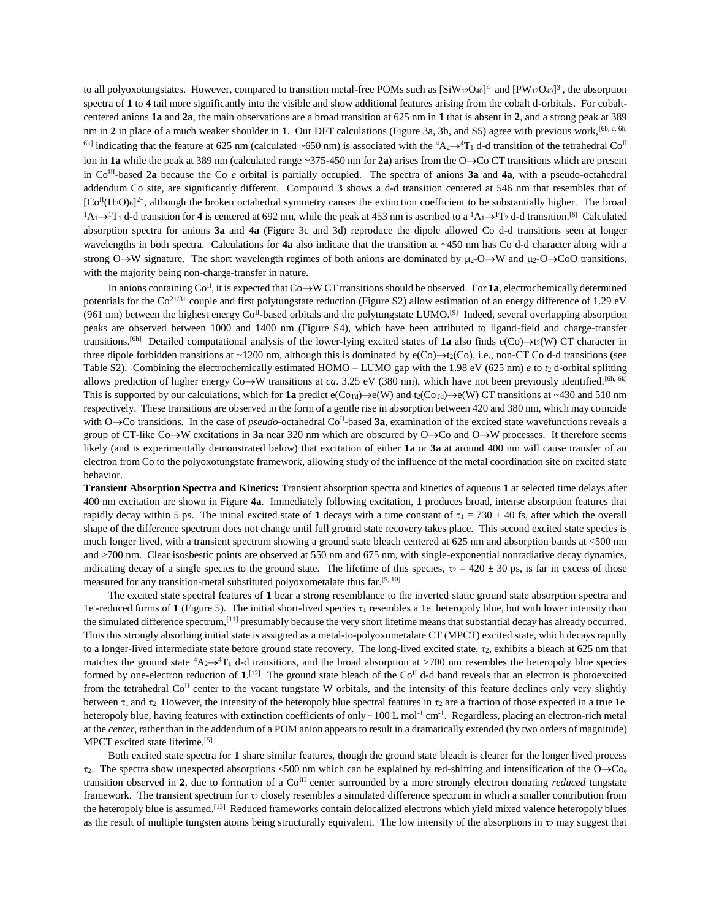to all polyoxotungstates. However, compared to transition metal-free POMs such as  $[SiW_{12}O_{40}]^4$  and  $[PW_{12}O_{40}]^3$ , the absorption spectra of **1** to **4** tail more significantly into the visible and show additional features arising from the cobalt d-orbitals. For cobaltcentered anions **1a** and **2a**, the main observations are a broad transition at 625 nm in **1** that is absent in **2**, and a strong peak at 389 nm in 2 in place of a much weaker shoulder in 1. Our DFT calculations (Figure 3a, 3b, and S5) agree with previous work,<sup>[6b, c, 6h,</sup>] <sup>6k]</sup> indicating that the feature at 625 nm (calculated ~650 nm) is associated with the  ${}^4A_2\rightarrow {}^4T_1$  d-d transition of the tetrahedral Co<sup>II</sup> ion in **1a** while the peak at 389 nm (calculated range  $\sim$  375-450 nm for **2a**) arises from the O $\rightarrow$ Co CT transitions which are present in Co<sup>III</sup>-based 2a because the Co *e* orbital is partially occupied. The spectra of anions 3a and 4a, with a pseudo-octahedral addendum Co site, are significantly different. Compound **3** shows a d-d transition centered at 546 nm that resembles that of  $[Co<sup>H</sup>(H<sub>2</sub>O)<sub>6</sub>]<sup>2+</sup>$ , although the broken octahedral symmetry causes the extinction coefficient to be substantially higher. The broad  ${}^{1}A_{1} \rightarrow {}^{1}T_{1}$  d-d transition for 4 is centered at 692 nm, while the peak at 453 nm is ascribed to a  ${}^{1}A_{1} \rightarrow {}^{1}T_{2}$  d-d transition.<sup>[8]</sup> Calculated absorption spectra for anions **3a** and **4a** (Figure 3c and 3d) reproduce the dipole allowed Co d-d transitions seen at longer wavelengths in both spectra. Calculations for **4a** also indicate that the transition at *~*450 nm has Co d-d character along with a strong  $O \rightarrow W$  signature. The short wavelength regimes of both anions are dominated by  $\mu_2-O \rightarrow W$  and  $\mu_2-O \rightarrow CO$  transitions, with the majority being non-charge-transfer in nature.

In anions containing  $Co<sup>H</sup>$ , it is expected that  $Co \rightarrow W$  CT transitions should be observed. For **1a**, electrochemically determined potentials for the  $Co^{2+/3+}$  couple and first polytungstate reduction (Figure S2) allow estimation of an energy difference of 1.29 eV (961 nm) between the highest energy Co<sup>II</sup>-based orbitals and the polytungstate LUMO.<sup>[9]</sup> Indeed, several overlapping absorption peaks are observed between 1000 and 1400 nm (Figure S4), which have been attributed to ligand-field and charge-transfer transitions.<sup>[6h]</sup> Detailed computational analysis of the lower-lying excited states of **1a** also finds  $e(Co) \rightarrow t_2(W)$  CT character in three dipole forbidden transitions at ~1200 nm, although this is dominated by  $e(Co) \rightarrow t_2(Co)$ , i.e., non-CT Co d-d transitions (see Table S2). Combining the electrochemically estimated HOMO – LUMO gap with the 1.98 eV (625 nm) *e* to *t*<sup>2</sup> d-orbital splitting allows prediction of higher energy  $Co\rightarrow W$  transitions at *ca*. 3.25 eV (380 nm), which have not been previously identified.<sup>[6h, 6k]</sup> This is supported by our calculations, which for **1a** predict  $e(Cor_{d})\rightarrow e(W)$  and  $t_{2}(Cor_{d})\rightarrow e(W)$  CT transitions at ~430 and 510 nm respectively. These transitions are observed in the form of a gentle rise in absorption between 420 and 380 nm, which may coincide with  $O \rightarrow Co$  transitions. In the case of *pseudo*-octahedral  $Co<sup>II</sup>$ -based **3a**, examination of the excited state wavefunctions reveals a group of CT-like Co $\rightarrow$ W excitations in **3a** near 320 nm which are obscured by O $\rightarrow$ Co and O $\rightarrow$ W processes. It therefore seems likely (and is experimentally demonstrated below) that excitation of either **1a** or **3a** at around 400 nm will cause transfer of an electron from Co to the polyoxotungstate framework, allowing study of the influence of the metal coordination site on excited state behavior.

**Transient Absorption Spectra and Kinetics:** Transient absorption spectra and kinetics of aqueous **1** at selected time delays after 400 nm excitation are shown in Figure **4a**. Immediately following excitation, **1** produces broad, intense absorption features that rapidly decay within 5 ps. The initial excited state of 1 decays with a time constant of  $\tau_1 = 730 \pm 40$  fs, after which the overall shape of the difference spectrum does not change until full ground state recovery takes place. This second excited state species is much longer lived, with a transient spectrum showing a ground state bleach centered at 625 nm and absorption bands at <500 nm and >700 nm. Clear isosbestic points are observed at 550 nm and 675 nm, with single-exponential nonradiative decay dynamics, indicating decay of a single species to the ground state. The lifetime of this species,  $\tau_2 = 420 \pm 30$  ps, is far in excess of those measured for any transition-metal substituted polyoxometalate thus far.[5, 10]

The excited state spectral features of **1** bear a strong resemblance to the inverted static ground state absorption spectra and 1e-reduced forms of 1 (Figure 5). The initial short-lived species  $\tau_1$  resembles a 1e- heteropoly blue, but with lower intensity than the simulated difference spectrum,[11] presumably because the very short lifetime means that substantial decay has already occurred. Thus this strongly absorbing initial state is assigned as a metal-to-polyoxometalate CT (MPCT) excited state, which decays rapidly to a longer-lived intermediate state before ground state recovery. The long-lived excited state,  $\tau_2$ , exhibits a bleach at 625 nm that matches the ground state  ${}^4A_2\rightarrow {}^4T_1$  d-d transitions, and the broad absorption at >700 nm resembles the heteropoly blue species formed by one-electron reduction of  $1$ <sup>[12]</sup>. The ground state bleach of the Co<sup>II</sup> d-d band reveals that an electron is photoexcited from the tetrahedral  $Co<sup>\Pi</sup>$  center to the vacant tungstate W orbitals, and the intensity of this feature declines only very slightly between  $\tau_1$  and  $\tau_2$  However, the intensity of the heteropoly blue spectral features in  $\tau_2$  are a fraction of those expected in a true 1e<sup>-</sup> heteropoly blue, having features with extinction coefficients of only  $\sim 100$  L mol<sup>-1</sup> cm<sup>-1</sup>. Regardless, placing an electron-rich metal at the *center*, rather than in the addendum of a POM anion appears to result in a dramatically extended (by two orders of magnitude) MPCT excited state lifetime.[5]

Both excited state spectra for **1** share similar features, though the ground state bleach is clearer for the longer lived process  $\tau_2$ . The spectra show unexpected absorptions <500 nm which can be explained by red-shifting and intensification of the O $\rightarrow$ Co<sub>e</sub> transition observed in **2**, due to formation of a CoIII center surrounded by a more strongly electron donating *reduced* tungstate framework. The transient spectrum for  $\tau_2$  closely resembles a simulated difference spectrum in which a smaller contribution from the heteropoly blue is assumed.<sup>[13]</sup> Reduced frameworks contain delocalized electrons which yield mixed valence heteropoly blues as the result of multiple tungsten atoms being structurally equivalent. The low intensity of the absorptions in  $\tau_2$  may suggest that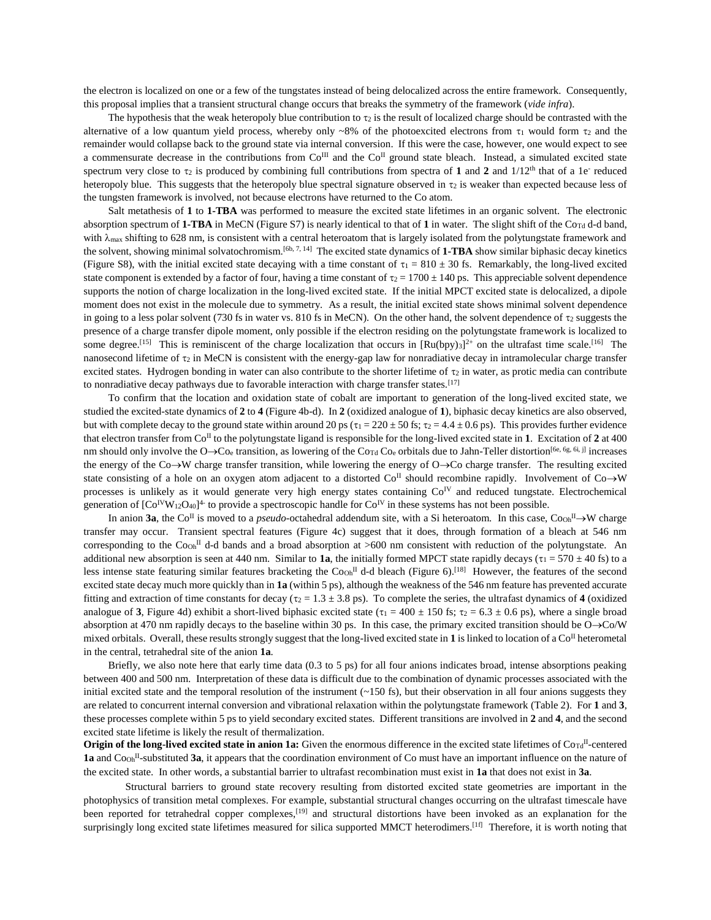the electron is localized on one or a few of the tungstates instead of being delocalized across the entire framework. Consequently, this proposal implies that a transient structural change occurs that breaks the symmetry of the framework (*vide infra*).

The hypothesis that the weak heteropoly blue contribution to  $\tau_2$  is the result of localized charge should be contrasted with the alternative of a low quantum yield process, whereby only ~8% of the photoexcited electrons from  $\tau_1$  would form  $\tau_2$  and the remainder would collapse back to the ground state via internal conversion. If this were the case, however, one would expect to see a commensurate decrease in the contributions from  $Co^{II}$  and the  $Co^{II}$  ground state bleach. Instead, a simulated excited state spectrum very close to  $\tau_2$  is produced by combining full contributions from spectra of 1 and 2 and  $1/12<sup>th</sup>$  that of a 1e<sup>-</sup> reduced heteropoly blue. This suggests that the heteropoly blue spectral signature observed in  $\tau_2$  is weaker than expected because less of the tungsten framework is involved, not because electrons have returned to the Co atom.

Salt metathesis of **1** to **1-TBA** was performed to measure the excited state lifetimes in an organic solvent. The electronic absorption spectrum of 1-TBA in MeCN (Figure S7) is nearly identical to that of 1 in water. The slight shift of the Co<sub>Td</sub> d-d band, with  $\lambda_{\text{max}}$  shifting to 628 nm, is consistent with a central heteroatom that is largely isolated from the polytungstate framework and the solvent, showing minimal solvatochromism.<sup>[6b, 7, 14]</sup> The excited state dynamics of **1-TBA** show similar biphasic decay kinetics (Figure S8), with the initial excited state decaying with a time constant of  $\tau_1 = 810 \pm 30$  fs. Remarkably, the long-lived excited state component is extended by a factor of four, having a time constant of  $\tau_2 = 1700 \pm 140$  ps. This appreciable solvent dependence supports the notion of charge localization in the long-lived excited state. If the initial MPCT excited state is delocalized, a dipole moment does not exist in the molecule due to symmetry. As a result, the initial excited state shows minimal solvent dependence in going to a less polar solvent (730 fs in water vs. 810 fs in MeCN). On the other hand, the solvent dependence of  $\tau_2$  suggests the presence of a charge transfer dipole moment, only possible if the electron residing on the polytungstate framework is localized to some degree.<sup>[15]</sup> This is reminiscent of the charge localization that occurs in  $\left[\text{Ru(bpy)}_3\right]^{2+}$  on the ultrafast time scale.<sup>[16]</sup> The nanosecond lifetime of  $\tau_2$  in MeCN is consistent with the energy-gap law for nonradiative decay in intramolecular charge transfer excited states. Hydrogen bonding in water can also contribute to the shorter lifetime of  $\tau_2$  in water, as protic media can contribute to nonradiative decay pathways due to favorable interaction with charge transfer states.<sup>[17]</sup>

To confirm that the location and oxidation state of cobalt are important to generation of the long-lived excited state, we studied the excited-state dynamics of **2** to **4** (Figure 4b-d). In **2** (oxidized analogue of **1**), biphasic decay kinetics are also observed, but with complete decay to the ground state within around 20 ps ( $\tau_1 = 220 \pm 50$  fs;  $\tau_2 = 4.4 \pm 0.6$  ps). This provides further evidence that electron transfer from  $Co<sup>H</sup>$  to the polytungstate ligand is responsible for the long-lived excited state in **1**. Excitation of **2** at 400 nm should only involve the  $O \rightarrow C_{0e}$  transition, as lowering of the Co<sub>Td</sub> Co<sub>e</sub> orbitals due to Jahn-Teller distortion<sup>[6e, 6g, 6i, j] increases</sup> the energy of the Co $\rightarrow$ W charge transfer transition, while lowering the energy of O $\rightarrow$ Co charge transfer. The resulting excited state consisting of a hole on an oxygen atom adjacent to a distorted  $Co<sup>\Pi</sup>$  should recombine rapidly. Involvement of  $Co\rightarrow W$ processes is unlikely as it would generate very high energy states containing Co<sup>IV</sup> and reduced tungstate. Electrochemical generation of  $[Co<sup>IV</sup>W<sub>12</sub>O<sub>40</sub>]$ <sup>4</sup> to provide a spectroscopic handle for Co<sup>IV</sup> in these systems has not been possible.

In anion **3a**, the Co<sup>II</sup> is moved to a *pseudo*-octahedral addendum site, with a Si heteroatom. In this case, Co<sub>Oh</sub><sup>II</sup> $\rightarrow$ W charge transfer may occur. Transient spectral features (Figure 4c) suggest that it does, through formation of a bleach at 546 nm corresponding to the Coo<sub>h</sub><sup>II</sup> d-d bands and a broad absorption at  $>600$  nm consistent with reduction of the polytungstate. An additional new absorption is seen at 440 nm. Similar to **1a**, the initially formed MPCT state rapidly decays ( $\tau_1 = 570 \pm 40$  fs) to a less intense state featuring similar features bracketing the  $\text{Co}_{0h}$ <sup>II</sup> d-d bleach (Figure 6).<sup>[18]</sup> However, the features of the second excited state decay much more quickly than in **1a** (within 5 ps), although the weakness of the 546 nm feature has prevented accurate fitting and extraction of time constants for decay ( $\tau_2 = 1.3 \pm 3.8$  ps). To complete the series, the ultrafast dynamics of 4 (oxidized analogue of **3**, Figure 4d) exhibit a short-lived biphasic excited state ( $\tau_1 = 400 \pm 150$  fs;  $\tau_2 = 6.3 \pm 0.6$  ps), where a single broad absorption at 470 nm rapidly decays to the baseline within 30 ps. In this case, the primary excited transition should be  $O\rightarrow CO/W$ mixed orbitals. Overall, these results strongly suggest that the long-lived excited state in  $1$  is linked to location of a  $Co<sup>II</sup>$  heterometal in the central, tetrahedral site of the anion **1a**.

Briefly, we also note here that early time data (0.3 to 5 ps) for all four anions indicates broad, intense absorptions peaking between 400 and 500 nm. Interpretation of these data is difficult due to the combination of dynamic processes associated with the initial excited state and the temporal resolution of the instrument  $(\sim 150 \text{ fs})$ , but their observation in all four anions suggests they are related to concurrent internal conversion and vibrational relaxation within the polytungstate framework (Table 2). For **1** and **3**, these processes complete within 5 ps to yield secondary excited states. Different transitions are involved in **2** and **4**, and the second excited state lifetime is likely the result of thermalization.

Origin of the long-lived excited state in anion 1a: Given the enormous difference in the excited state lifetimes of Co<sub>Td</sub><sup>II</sup>-centered **1a** and Co<sub>Oh</sub><sup>II</sup>-substituted 3a, it appears that the coordination environment of Co must have an important influence on the nature of the excited state. In other words, a substantial barrier to ultrafast recombination must exist in **1a** that does not exist in **3a**.

Structural barriers to ground state recovery resulting from distorted excited state geometries are important in the photophysics of transition metal complexes. For example, substantial structural changes occurring on the ultrafast timescale have been reported for tetrahedral copper complexes,<sup>[19]</sup> and structural distortions have been invoked as an explanation for the surprisingly long excited state lifetimes measured for silica supported MMCT heterodimers.<sup>[1f]</sup> Therefore, it is worth noting that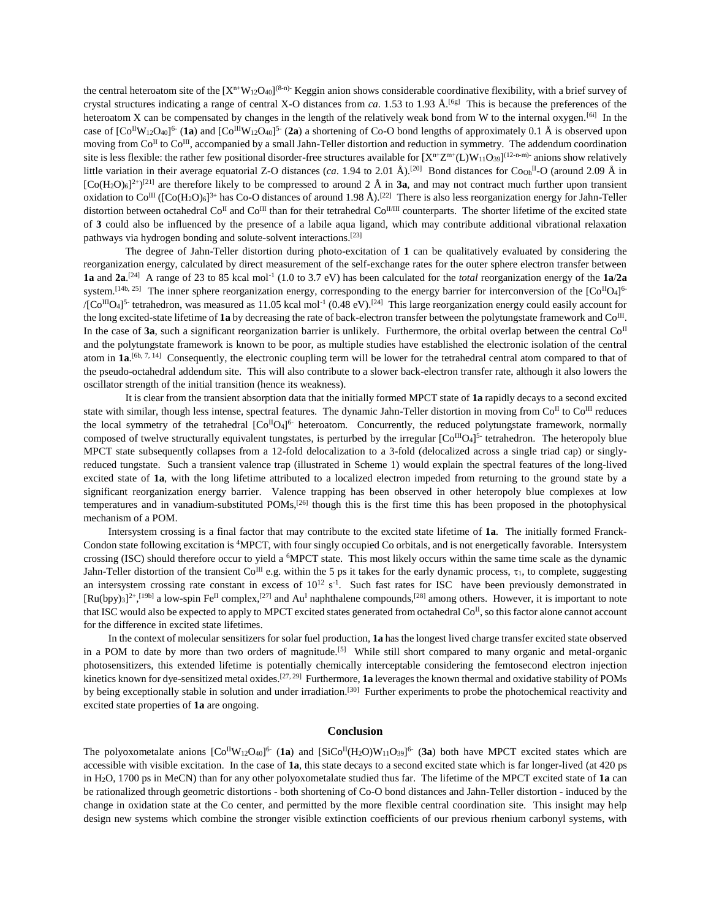the central heteroatom site of the  $[X<sup>n</sup>W<sub>12</sub>O<sub>40</sub>]$ <sup>(8-n)</sup> Keggin anion shows considerable coordinative flexibility, with a brief survey of crystal structures indicating a range of central X-O distances from *ca*. 1.53 to 1.93 Å.[6g] This is because the preferences of the heteroatom X can be compensated by changes in the length of the relatively weak bond from W to the internal oxygen.<sup>[6i]</sup> In the case of  $[Co^{II}W_{12}O_{40}]^6$  (**1a**) and  $[Co^{III}W_{12}O_{40}]^5$  (**2a**) a shortening of Co-O bond lengths of approximately 0.1 Å is observed upon moving from  $Co^{II}$  to  $Co^{III}$ , accompanied by a small Jahn-Teller distortion and reduction in symmetry. The addendum coordination site is less flexible: the rather few positional disorder-free structures available for  $[X^{n+}Z^{m+}(L)W_{11}O_{39}]^{(12-n-m)}$  anions show relatively little variation in their average equatorial Z-O distances (*ca*. 1.94 to 2.01  $\rm{\AA}$ ).<sup>[20]</sup> Bond distances for Co<sub>Oh</sub><sup>II</sup>-O (around 2.09  $\rm{\AA}$  in  $[Co(H_2O)_6]^{2+}[O^{21}]$  are therefore likely to be compressed to around 2 Å in **3a**, and may not contract much further upon transient oxidation to Co<sup>III</sup> ([Co(H<sub>2</sub>O)<sub>6</sub>]<sup>3+</sup> has Co-O distances of around 1.98 Å).<sup>[22]</sup> There is also less reorganization energy for Jahn-Teller distortion between octahedral Co<sup>II</sup> and Co<sup>III</sup> than for their tetrahedral Co<sup>II/III</sup> counterparts. The shorter lifetime of the excited state of **3** could also be influenced by the presence of a labile aqua ligand, which may contribute additional vibrational relaxation pathways via hydrogen bonding and solute-solvent interactions.[23]

The degree of Jahn-Teller distortion during photo-excitation of **1** can be qualitatively evaluated by considering the reorganization energy, calculated by direct measurement of the self-exchange rates for the outer sphere electron transfer between **1a** and  $2a^{24}$  A range of 23 to 85 kcal mol<sup>-1</sup> (1.0 to 3.7 eV) has been calculated for the *total* reorganization energy of the **1a/2a** system.<sup>[14b, 25]</sup> The inner sphere reorganization energy, corresponding to the energy barrier for interconversion of the  $[Co<sup>H</sup>O<sub>4</sub>]<sup>6</sup>$  $/[C<sup>III</sup>O<sub>4</sub>]$ <sup>5</sup> tetrahedron, was measured as 11.05 kcal mol<sup>-1</sup> (0.48 eV).<sup>[24]</sup> This large reorganization energy could easily account for the long excited-state lifetime of 1a by decreasing the rate of back-electron transfer between the polytungstate framework and Co<sup>III</sup>. In the case of **3a**, such a significant reorganization barrier is unlikely. Furthermore, the orbital overlap between the central  $Co<sup>\Pi</sup>$ and the polytungstate framework is known to be poor, as multiple studies have established the electronic isolation of the central atom in  $1a^{[6b, 7, 14]}$  Consequently, the electronic coupling term will be lower for the tetrahedral central atom compared to that of the pseudo-octahedral addendum site. This will also contribute to a slower back-electron transfer rate, although it also lowers the oscillator strength of the initial transition (hence its weakness).

It is clear from the transient absorption data that the initially formed MPCT state of **1a** rapidly decays to a second excited state with similar, though less intense, spectral features. The dynamic Jahn-Teller distortion in moving from  $Co<sup>H</sup>$  to  $Co<sup>H</sup>$  reduces the local symmetry of the tetrahedral  $[Co^{\text{II}}O_4]$ <sup>6</sup> heteroatom. Concurrently, the reduced polytungstate framework, normally composed of twelve structurally equivalent tungstates, is perturbed by the irregular  $[Co^{III}O4]^{5}$  tetrahedron. The heteropoly blue MPCT state subsequently collapses from a 12-fold delocalization to a 3-fold (delocalized across a single triad cap) or singlyreduced tungstate. Such a transient valence trap (illustrated in Scheme 1) would explain the spectral features of the long-lived excited state of **1a**, with the long lifetime attributed to a localized electron impeded from returning to the ground state by a significant reorganization energy barrier. Valence trapping has been observed in other heteropoly blue complexes at low temperatures and in vanadium-substituted POMs,[26] though this is the first time this has been proposed in the photophysical mechanism of a POM.

Intersystem crossing is a final factor that may contribute to the excited state lifetime of **1a**. The initially formed Franck-Condon state following excitation is <sup>4</sup>MPCT, with four singly occupied Co orbitals, and is not energetically favorable. Intersystem crossing (ISC) should therefore occur to yield a <sup>6</sup>MPCT state. This most likely occurs within the same time scale as the dynamic Jahn-Teller distortion of the transient  $Co^{III}$  e.g. within the 5 ps it takes for the early dynamic process,  $\tau_1$ , to complete, suggesting an intersystem crossing rate constant in excess of  $10^{12}$  s<sup>-1</sup>. Such fast rates for ISC have been previously demonstrated in  $[Ru(bpy)_3]^{2*}$ ,  $[19b]$  a low-spin Fe<sup>II</sup> complex,  $[27]$  and Au<sup>I</sup> naphthalene compounds,  $[28]$  among others. However, it is important to note that ISC would also be expected to apply to MPCT excited states generated from octahedral  $Co<sup>H</sup>$ , so this factor alone cannot account for the difference in excited state lifetimes.

In the context of molecular sensitizers for solar fuel production, **1a** has the longest lived charge transfer excited state observed in a POM to date by more than two orders of magnitude.<sup>[5]</sup> While still short compared to many organic and metal-organic photosensitizers, this extended lifetime is potentially chemically interceptable considering the femtosecond electron injection kinetics known for dye-sensitized metal oxides.[27, 29] Furthermore, **1a** leverages the known thermal and oxidative stability of POMs by being exceptionally stable in solution and under irradiation.<sup>[30]</sup> Further experiments to probe the photochemical reactivity and excited state properties of **1a** are ongoing.

#### **Conclusion**

The polyoxometalate anions  $[Co^{II}W_{12}O_{40}]^6$  (1a) and  $[SiCo^{II}(H_2O)W_{11}O_{39}]^6$  (3a) both have MPCT excited states which are accessible with visible excitation. In the case of **1a**, this state decays to a second excited state which is far longer-lived (at 420 ps in H2O, 1700 ps in MeCN) than for any other polyoxometalate studied thus far. The lifetime of the MPCT excited state of **1a** can be rationalized through geometric distortions - both shortening of Co-O bond distances and Jahn-Teller distortion - induced by the change in oxidation state at the Co center, and permitted by the more flexible central coordination site. This insight may help design new systems which combine the stronger visible extinction coefficients of our previous rhenium carbonyl systems, with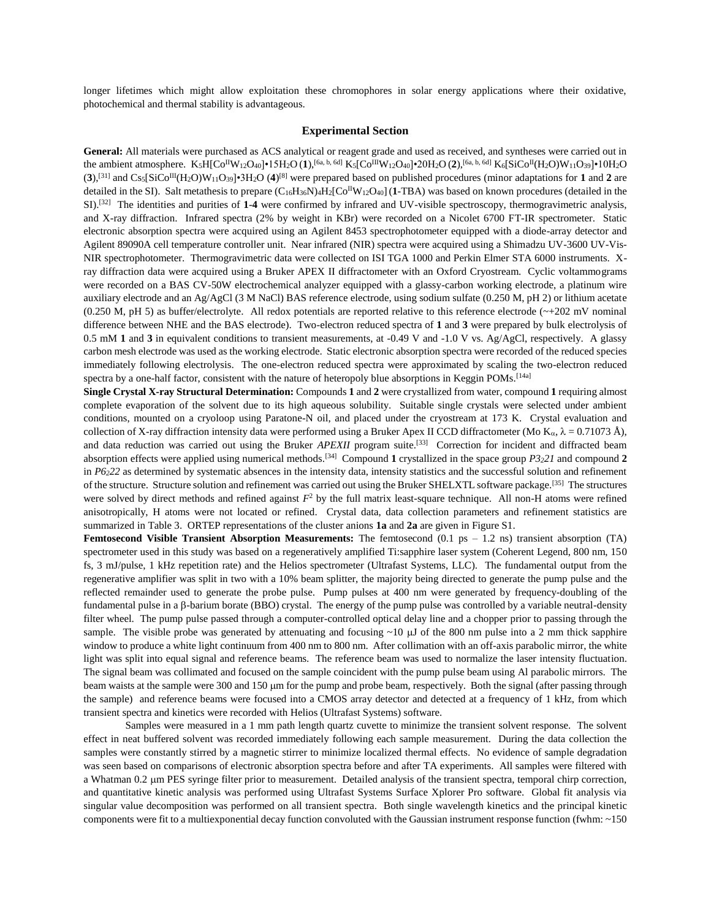longer lifetimes which might allow exploitation these chromophores in solar energy applications where their oxidative, photochemical and thermal stability is advantageous.

#### **Experimental Section**

**General:** All materials were purchased as ACS analytical or reagent grade and used as received, and syntheses were carried out in the ambient atmosphere. K5H[CoIIW12O40]•15H2O (**1**),[6a, b, 6d] K5[CoIIIW12O40]•20H2O (**2**),[6a, b, 6d] K6[SiCoII(H2O)W11O39]•10H2O  $(3)$ ,<sup>[31]</sup> and  $\text{Cs}_{5}[\text{SiCo}^{\text{III}}(\text{H}_{2}\text{O})\text{W}_{11}\text{O}_{39}]$ •3H<sub>2</sub>O (4)<sup>[8]</sup> were prepared based on published procedures (minor adaptations for **1** and **2** are detailed in the SI). Salt metathesis to prepare (C16H36N)4H2[CoIIW12O40] (**1**-TBA) was based on known procedures (detailed in the SI).[32] The identities and purities of **1**-**4** were confirmed by infrared and UV-visible spectroscopy, thermogravimetric analysis, and X-ray diffraction. Infrared spectra (2% by weight in KBr) were recorded on a Nicolet 6700 FT-IR spectrometer. Static electronic absorption spectra were acquired using an Agilent 8453 spectrophotometer equipped with a diode-array detector and Agilent 89090A cell temperature controller unit. Near infrared (NIR) spectra were acquired using a Shimadzu UV-3600 UV-Vis-NIR spectrophotometer. Thermogravimetric data were collected on ISI TGA 1000 and Perkin Elmer STA 6000 instruments. Xray diffraction data were acquired using a Bruker APEX II diffractometer with an Oxford Cryostream. Cyclic voltammograms were recorded on a BAS CV-50W electrochemical analyzer equipped with a glassy-carbon working electrode, a platinum wire auxiliary electrode and an Ag/AgCl (3 M NaCl) BAS reference electrode, using sodium sulfate (0.250 M, pH 2) or lithium acetate (0.250 M, pH 5) as buffer/electrolyte. All redox potentials are reported relative to this reference electrode  $(\sim +202 \text{ mV}$  nominal difference between NHE and the BAS electrode). Two-electron reduced spectra of **1** and **3** were prepared by bulk electrolysis of 0.5 mM **1** and **3** in equivalent conditions to transient measurements, at -0.49 V and -1.0 V vs. Ag/AgCl, respectively. A glassy carbon mesh electrode was used as the working electrode. Static electronic absorption spectra were recorded of the reduced species immediately following electrolysis. The one-electron reduced spectra were approximated by scaling the two-electron reduced spectra by a one-half factor, consistent with the nature of heteropoly blue absorptions in Keggin POMs.<sup>[14a]</sup>

**Single Crystal X-ray Structural Determination:** Compounds **1** and **2** were crystallized from water, compound **1** requiring almost complete evaporation of the solvent due to its high aqueous solubility. Suitable single crystals were selected under ambient conditions, mounted on a cryoloop using Paratone-N oil, and placed under the cryostream at 173 K. Crystal evaluation and collection of X-ray diffraction intensity data were performed using a Bruker Apex II CCD diffractometer (Mo K<sub>a</sub>,  $\lambda = 0.71073$  Å), and data reduction was carried out using the Bruker *APEXII* program suite.<sup>[33]</sup> Correction for incident and diffracted beam absorption effects were applied using numerical methods.[34] Compound **1** crystallized in the space group *P3221* and compound **2** in *P6222* as determined by systematic absences in the intensity data, intensity statistics and the successful solution and refinement of the structure. Structure solution and refinement was carried out using the Bruker SHELXTL software package.<sup>[35]</sup> The structures were solved by direct methods and refined against  $F<sup>2</sup>$  by the full matrix least-square technique. All non-H atoms were refined anisotropically, H atoms were not located or refined. Crystal data, data collection parameters and refinement statistics are summarized in Table 3. ORTEP representations of the cluster anions **1a** and **2a** are given in Figure S1.

**Femtosecond Visible Transient Absorption Measurements:** The femtosecond (0.1 ps – 1.2 ns) transient absorption (TA) spectrometer used in this study was based on a regeneratively amplified Ti:sapphire laser system (Coherent Legend, 800 nm, 150 fs, 3 mJ/pulse, 1 kHz repetition rate) and the Helios spectrometer (Ultrafast Systems, LLC). The fundamental output from the regenerative amplifier was split in two with a 10% beam splitter, the majority being directed to generate the pump pulse and the reflected remainder used to generate the probe pulse. Pump pulses at 400 nm were generated by frequency-doubling of the fundamental pulse in a  $\beta$ -barium borate (BBO) crystal. The energy of the pump pulse was controlled by a variable neutral-density filter wheel. The pump pulse passed through a computer-controlled optical delay line and a chopper prior to passing through the sample. The visible probe was generated by attenuating and focusing  $~10 \mu$  of the 800 nm pulse into a 2 mm thick sapphire window to produce a white light continuum from 400 nm to 800 nm. After collimation with an off-axis parabolic mirror, the white light was split into equal signal and reference beams. The reference beam was used to normalize the laser intensity fluctuation. The signal beam was collimated and focused on the sample coincident with the pump pulse beam using Al parabolic mirrors. The beam waists at the sample were 300 and 150 µm for the pump and probe beam, respectively. Both the signal (after passing through the sample) and reference beams were focused into a CMOS array detector and detected at a frequency of 1 kHz, from which transient spectra and kinetics were recorded with Helios (Ultrafast Systems) software.

Samples were measured in a 1 mm path length quartz cuvette to minimize the transient solvent response. The solvent effect in neat buffered solvent was recorded immediately following each sample measurement. During the data collection the samples were constantly stirred by a magnetic stirrer to minimize localized thermal effects. No evidence of sample degradation was seen based on comparisons of electronic absorption spectra before and after TA experiments. All samples were filtered with a Whatman 0.2 um PES syringe filter prior to measurement. Detailed analysis of the transient spectra, temporal chirp correction, and quantitative kinetic analysis was performed using Ultrafast Systems Surface Xplorer Pro software. Global fit analysis via singular value decomposition was performed on all transient spectra. Both single wavelength kinetics and the principal kinetic components were fit to a multiexponential decay function convoluted with the Gaussian instrument response function (fwhm: ~150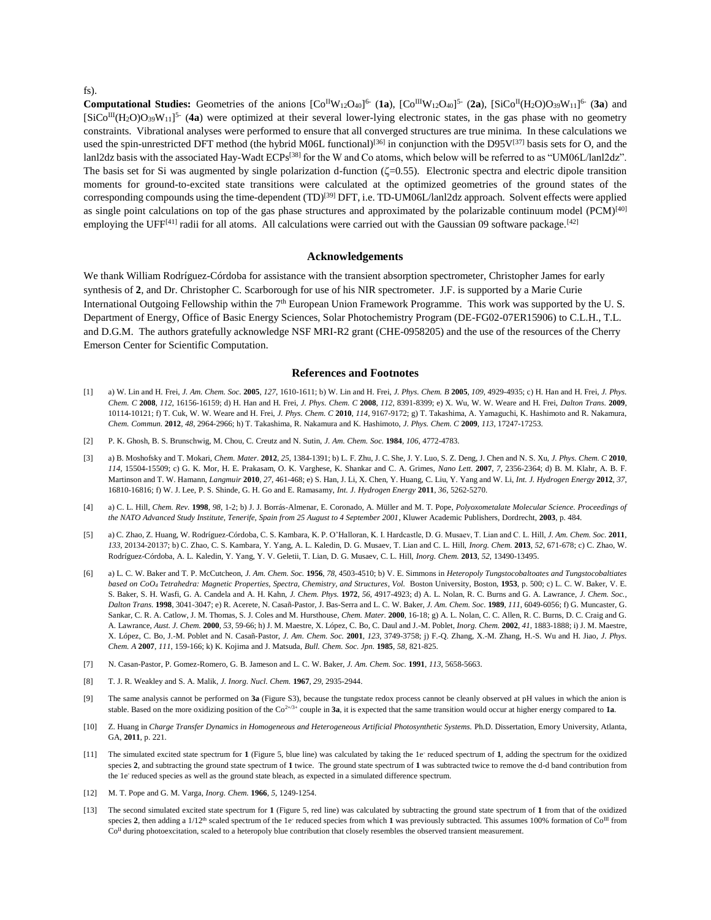#### fs).

**Computational Studies:** Geometries of the anions  $[Co^{II}W_{12}O_{40}]^{6}$  (1a),  $[Co^{III}W_{12}O_{40}]^{5}$  (2a),  $[SiCo^{II}(H_2O)O_{39}W_{11}]^{6}$  (3a) and  $[SiCo^{III}(H_2O)O_{39}W_{11}]^5$  (**4a**) were optimized at their several lower-lying electronic states, in the gas phase with no geometry constraints. Vibrational analyses were performed to ensure that all converged structures are true minima. In these calculations we used the spin-unrestricted DFT method (the hybrid M06L functional)<sup>[36]</sup> in conjunction with the D95V<sup>[37]</sup> basis sets for O, and the lanl2dz basis with the associated Hay-Wadt ECPs<sup>[38]</sup> for the W and Co atoms, which below will be referred to as "UM06L/lanl2dz". The basis set for Si was augmented by single polarization d-function  $(\zeta=0.55)$ . Electronic spectra and electric dipole transition moments for ground-to-excited state transitions were calculated at the optimized geometries of the ground states of the corresponding compounds using the time-dependent (TD)<sup>[39]</sup> DFT, i.e. TD-UM06L/lanl2dz approach. Solvent effects were applied as single point calculations on top of the gas phase structures and approximated by the polarizable continuum model  $(PCM)^{[40]}$ employing the UFF $[41]$  radii for all atoms. All calculations were carried out with the Gaussian 09 software package.<sup>[42]</sup>

#### **Acknowledgements**

We thank William Rodríguez-Córdoba for assistance with the transient absorption spectrometer, Christopher James for early synthesis of **2**, and Dr. Christopher C. Scarborough for use of his NIR spectrometer. J.F. is supported by a Marie Curie International Outgoing Fellowship within the 7<sup>th</sup> European Union Framework Programme. This work was supported by the U.S. Department of Energy, Office of Basic Energy Sciences, Solar Photochemistry Program (DE-FG02-07ER15906) to C.L.H., T.L. and D.G.M. The authors gratefully acknowledge NSF MRI-R2 grant (CHE-0958205) and the use of the resources of the Cherry Emerson Center for Scientific Computation.

#### <span id="page-6-0"></span>**References and Footnotes**

- [1] a) W. Lin and H. Frei, *J. Am. Chem. Soc.* **2005**, *127*, 1610-1611; b) W. Lin and H. Frei, *J. Phys. Chem. B* **2005**, *109*, 4929-4935; c) H. Han and H. Frei, *J. Phys. Chem. C* **2008**, *112*, 16156-16159; d) H. Han and H. Frei, *J. Phys. Chem. C* **2008**, *112*, 8391-8399; e) X. Wu, W. W. Weare and H. Frei, *Dalton Trans.* **2009**, 10114-10121; f) T. Cuk, W. W. Weare and H. Frei, *J. Phys. Chem. C* **2010**, *114*, 9167-9172; g) T. Takashima, A. Yamaguchi, K. Hashimoto and R. Nakamura, *Chem. Commun.* **2012**, *48*, 2964-2966; h) T. Takashima, R. Nakamura and K. Hashimoto, *J. Phys. Chem. C* **2009**, *113*, 17247-17253.
- [2] P. K. Ghosh, B. S. Brunschwig, M. Chou, C. Creutz and N. Sutin, *J. Am. Chem. Soc.* **1984**, *106*, 4772-4783.
- [3] a) B. Moshofsky and T. Mokari, *Chem. Mater.* **2012**, *25*, 1384-1391; b) L. F. Zhu, J. C. She, J. Y. Luo, S. Z. Deng, J. Chen and N. S. Xu, *J. Phys. Chem. C* **2010**, *114*, 15504-15509; c) G. K. Mor, H. E. Prakasam, O. K. Varghese, K. Shankar and C. A. Grimes, *Nano Lett.* **2007**, *7*, 2356-2364; d) B. M. Klahr, A. B. F. Martinson and T. W. Hamann, *Langmuir* **2010**, *27*, 461-468; e) S. Han, J. Li, X. Chen, Y. Huang, C. Liu, Y. Yang and W. Li, *Int. J. Hydrogen Energy* **2012**, *37*, 16810-16816; f) W. J. Lee, P. S. Shinde, G. H. Go and E. Ramasamy, *Int. J. Hydrogen Energy* **2011**, *36*, 5262-5270.
- [4] a) C. L. Hill, *Chem. Rev.* **1998**, *98*, 1-2; b) J. J. Borrás-Almenar, E. Coronado, A. Müller and M. T. Pope, *Polyoxometalate Molecular Science. Proceedings of the NATO Advanced Study Institute, Tenerife, Spain from 25 August to 4 September 2001*, Kluwer Academic Publishers, Dordrecht, **2003**, p. 484.
- [5] a) C. Zhao, Z. Huang, W. Rodríguez-Córdoba, C. S. Kambara, K. P. O'Halloran, K. I. Hardcastle, D. G. Musaev, T. Lian and C. L. Hill, *J. Am. Chem. Soc.* **2011**, *133*, 20134-20137; b) C. Zhao, C. S. Kambara, Y. Yang, A. L. Kaledin, D. G. Musaev, T. Lian and C. L. Hill, *Inorg. Chem.* **2013**, *52*, 671-678; c) C. Zhao, W. Rodríguez-Córdoba, A. L. Kaledin, Y. Yang, Y. V. Geletii, T. Lian, D. G. Musaev, C. L. Hill, *Inorg. Chem.* **2013**, *52*, 13490-13495.
- [6] a) L. C. W. Baker and T. P. McCutcheon, *J. Am. Chem. Soc.* **1956**, *78*, 4503-4510; b) V. E. Simmons in *Heteropoly Tungstocobaltoates and Tungstocobaltiates based on CoO<sup>4</sup> Tetrahedra: Magnetic Properties, Spectra, Chemistry, and Structures*, *Vol.* Boston University, Boston, **1953**, p. 500; c) L. C. W. Baker, V. E. S. Baker, S. H. Wasfi, G. A. Candela and A. H. Kahn, *J. Chem. Phys.* **1972**, *56*, 4917-4923; d) A. L. Nolan, R. C. Burns and G. A. Lawrance, *J. Chem. Soc., Dalton Trans.* **1998**, 3041-3047; e) R. Acerete, N. Casañ-Pastor, J. Bas-Serra and L. C. W. Baker, *J. Am. Chem. Soc.* **1989**, *111*, 6049-6056; f) G. Muncaster, G. Sankar, C. R. A. Catlow, J. M. Thomas, S. J. Coles and M. Hursthouse, *Chem. Mater.* **2000**, 16-18; g) A. L. Nolan, C. C. Allen, R. C. Burns, D. C. Craig and G. A. Lawrance, *Aust. J. Chem.* **2000**, *53*, 59-66; h) J. M. Maestre, X. López, C. Bo, C. Daul and J.-M. Poblet, *Inorg. Chem.* **2002**, *41*, 1883-1888; i) J. M. Maestre, X. López, C. Bo, J.-M. Poblet and N. Casañ-Pastor, *J. Am. Chem. Soc.* **2001**, *123*, 3749-3758; j) F.-Q. Zhang, X.-M. Zhang, H.-S. Wu and H. Jiao, *J. Phys. Chem. A* **2007**, *111*, 159-166; k) K. Kojima and J. Matsuda, *Bull. Chem. Soc. Jpn.* **1985**, *58*, 821-825.
- [7] N. Casan-Pastor, P. Gomez-Romero, G. B. Jameson and L. C. W. Baker, *J. Am. Chem. Soc.* **1991**, *113*, 5658-5663.
- <span id="page-6-1"></span>[8] T. J. R. Weakley and S. A. Malik, *J. Inorg. Nucl. Chem.* **1967**, *29*, 2935-2944.
- [9] The same analysis cannot be performed on **3a** (Figure S3), because the tungstate redox process cannot be cleanly observed at pH values in which the anion is stable. Based on the more oxidizing position of the  $Co<sup>2+/3+</sup>$  couple in **3a**, it is expected that the same transition would occur at higher energy compared to **1a**.
- [10] Z. Huang in Charge Transfer Dynamics in Homogeneous and Heterogeneous Artificial Photosynthetic Systems. Ph.D. Dissertation, Emory University, Atlanta, GA, **2011**, p. 221.
- [11] The simulated excited state spectrum for 1 (Figure 5, blue line) was calculated by taking the 1e<sup>-</sup> reduced spectrum of 1, adding the spectrum for the oxidized species **2**, and subtracting the ground state spectrum of **1** twice. The ground state spectrum of **1** was subtracted twice to remove the d-d band contribution from the 1e<sup>-</sup> reduced species as well as the ground state bleach, as expected in a simulated difference spectrum.
- [12] M. T. Pope and G. M. Varga, *Inorg. Chem.* **1966**, *5*, 1249-1254.
- [13] The second simulated excited state spectrum for **1** (Figure 5, red line) was calculated by subtracting the ground state spectrum of **1** from that of the oxidized species 2, then adding a  $1/12^{\text{th}}$  scaled spectrum of the 1e<sup>-</sup> reduced species from which 1 was previously subtracted. This assumes 100% formation of  $Co<sup>III</sup>$  from Co<sup>II</sup> during photoexcitation, scaled to a heteropoly blue contribution that closely resembles the observed transient measurement.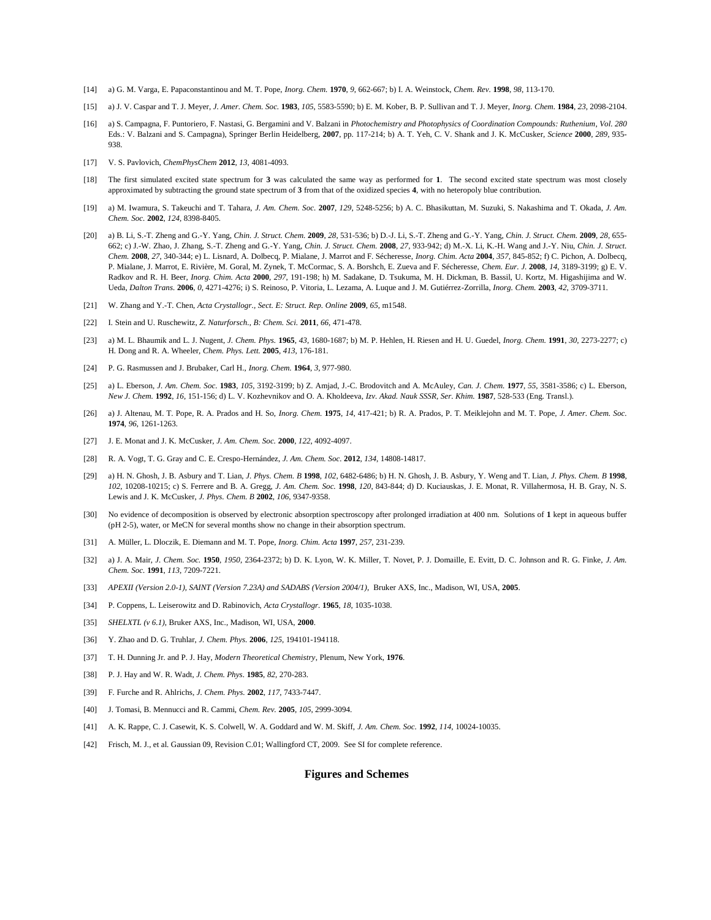- [14] a) G. M. Varga, E. Papaconstantinou and M. T. Pope, *Inorg. Chem.* **1970**, *9*, 662-667; b) I. A. Weinstock, *Chem. Rev.* **1998**, *98*, 113-170.
- [15] a) J. V. Caspar and T. J. Meyer, *J. Amer. Chem. Soc.* **1983**, *105*, 5583-5590; b) E. M. Kober, B. P. Sullivan and T. J. Meyer, *Inorg. Chem.* **1984**, *23*, 2098-2104.
- [16] a) S. Campagna, F. Puntoriero, F. Nastasi, G. Bergamini and V. Balzani in *Photochemistry and Photophysics of Coordination Compounds: Ruthenium*, *Vol. 280* Eds.: V. Balzani and S. Campagna), Springer Berlin Heidelberg, **2007**, pp. 117-214; b) A. T. Yeh, C. V. Shank and J. K. McCusker, *Science* **2000**, *289*, 935- 938.
- [17] V. S. Pavlovich, *ChemPhysChem* **2012**, *13*, 4081-4093.
- [18] The first simulated excited state spectrum for **3** was calculated the same way as performed for **1**. The second excited state spectrum was most closely approximated by subtracting the ground state spectrum of **3** from that of the oxidized species **4**, with no heteropoly blue contribution.
- [19] a) M. Iwamura, S. Takeuchi and T. Tahara, *J. Am. Chem. Soc.* **2007**, *129*, 5248-5256; b) A. C. Bhasikuttan, M. Suzuki, S. Nakashima and T. Okada, *J. Am. Chem. Soc.* **2002**, *124*, 8398-8405.
- <span id="page-7-0"></span>[20] a) B. Li, S.-T. Zheng and G.-Y. Yang, *Chin. J. Struct. Chem.* **2009**, *28*, 531-536; b) D.-J. Li, S.-T. Zheng and G.-Y. Yang, *Chin. J. Struct. Chem.* **2009**, *28*, 655- 662; c) J.-W. Zhao, J. Zhang, S.-T. Zheng and G.-Y. Yang, *Chin. J. Struct. Chem.* **2008**, *27*, 933-942; d) M.-X. Li, K.-H. Wang and J.-Y. Niu, *Chin. J. Struct. Chem.* **2008**, *27*, 340-344; e) L. Lisnard, A. Dolbecq, P. Mialane, J. Marrot and F. Sécheresse, *Inorg. Chim. Acta* **2004**, *357*, 845-852; f) C. Pichon, A. Dolbecq, P. Mialane, J. Marrot, E. Rivière, M. Goral, M. Zynek, T. McCormac, S. A. Borshch, E. Zueva and F. Sécheresse, *Chem. Eur. J.* **2008**, *14*, 3189-3199; g) E. V. Radkov and R. H. Beer, *Inorg. Chim. Acta* **2000**, *297*, 191-198; h) M. Sadakane, D. Tsukuma, M. H. Dickman, B. Bassil, U. Kortz, M. Higashijima and W. Ueda, *Dalton Trans.* **2006**, *0*, 4271-4276; i) S. Reinoso, P. Vitoria, L. Lezama, A. Luque and J. M. Gutiérrez-Zorrilla, *Inorg. Chem.* **2003**, *42*, 3709-3711.
- [21] W. Zhang and Y.-T. Chen, *Acta Crystallogr., Sect. E: Struct. Rep. Online* **2009**, *65*, m1548.
- [22] I. Stein and U. Ruschewitz, *Z. Naturforsch., B: Chem. Sci.* **2011**, *66*, 471-478.
- [23] a) M. L. Bhaumik and L. J. Nugent, *J. Chem. Phys.* **1965**, *43*, 1680-1687; b) M. P. Hehlen, H. Riesen and H. U. Guedel, *Inorg. Chem.* **1991**, *30*, 2273-2277; c) H. Dong and R. A. Wheeler, *Chem. Phys. Lett.* **2005**, *413*, 176-181.
- [24] P. G. Rasmussen and J. Brubaker, Carl H., *Inorg. Chem.* **1964**, *3*, 977-980.
- [25] a) L. Eberson, *J. Am. Chem. Soc.* **1983**, *105*, 3192-3199; b) Z. Amjad, J.-C. Brodovitch and A. McAuley, *Can. J. Chem.* **1977**, *55*, 3581-3586; c) L. Eberson, *New J. Chem.* **1992**, *16*, 151-156; d) L. V. Kozhevnikov and O. A. Kholdeeva, *Izv. Akad. Nauk SSSR, Ser. Khim.* **1987**, 528-533 (Eng. Transl.).
- [26] a) J. Altenau, M. T. Pope, R. A. Prados and H. So, *Inorg. Chem.* **1975**, *14*, 417-421; b) R. A. Prados, P. T. Meiklejohn and M. T. Pope, *J. Amer. Chem. Soc.*  **1974**, *96*, 1261-1263.
- [27] J. E. Monat and J. K. McCusker, *J. Am. Chem. Soc.* **2000**, *122*, 4092-4097.
- [28] R. A. Vogt, T. G. Gray and C. E. Crespo-Hernández, *J. Am. Chem. Soc.* **2012**, *134*, 14808-14817.
- [29] a) H. N. Ghosh, J. B. Asbury and T. Lian, *J. Phys. Chem. B* **1998**, *102*, 6482-6486; b) H. N. Ghosh, J. B. Asbury, Y. Weng and T. Lian, *J. Phys. Chem. B* **1998**, *102*, 10208-10215; c) S. Ferrere and B. A. Gregg, *J. Am. Chem. Soc.* **1998**, *120*, 843-844; d) D. Kuciauskas, J. E. Monat, R. Villahermosa, H. B. Gray, N. S. Lewis and J. K. McCusker, *J. Phys. Chem. B* **2002**, *106*, 9347-9358.
- [30] No evidence of decomposition is observed by electronic absorption spectroscopy after prolonged irradiation at 400 nm. Solutions of **1** kept in aqueous buffer (pH 2-5), water, or MeCN for several months show no change in their absorption spectrum.
- [31] A. Müller, L. Dloczik, E. Diemann and M. T. Pope, *Inorg. Chim. Acta* **1997**, *257*, 231-239.
- [32] a) J. A. Mair, *J. Chem. Soc.* **1950**, *1950*, 2364-2372; b) D. K. Lyon, W. K. Miller, T. Novet, P. J. Domaille, E. Evitt, D. C. Johnson and R. G. Finke, *J. Am. Chem. Soc.* **1991**, *113*, 7209-7221.
- [33] *APEXII (Version 2.0-1), SAINT (Version 7.23A) and SADABS (Version 2004/1)*, Bruker AXS, Inc., Madison, WI, USA, **2005**.
- [34] P. Coppens, L. Leiserowitz and D. Rabinovich, *Acta Crystallogr.* **1965**, *18*, 1035-1038.
- [35] *SHELXTL (v 6.1)*, Bruker AXS, Inc., Madison, WI, USA, **2000**.
- [36] Y. Zhao and D. G. Truhlar, *J. Chem. Phys.* **2006**, *125*, 194101-194118.
- [37] T. H. Dunning Jr. and P. J. Hay, *Modern Theoretical Chemistry*, Plenum, New York, **1976**.
- [38] P. J. Hay and W. R. Wadt, *J. Chem. Phys.* **1985**, *82*, 270-283.
- [39] F. Furche and R. Ahlrichs, *J. Chem. Phys.* **2002**, *117*, 7433-7447.
- [40] J. Tomasi, B. Mennucci and R. Cammi, *Chem. Rev.* **2005**, *105*, 2999-3094.
- [41] A. K. Rappe, C. J. Casewit, K. S. Colwell, W. A. Goddard and W. M. Skiff, *J. Am. Chem. Soc.* **1992**, *114*, 10024-10035.
- [42] Frisch, M. J., et al. Gaussian 09, Revision C.01; Wallingford CT, 2009. See SI for complete reference.

#### **Figures and Schemes**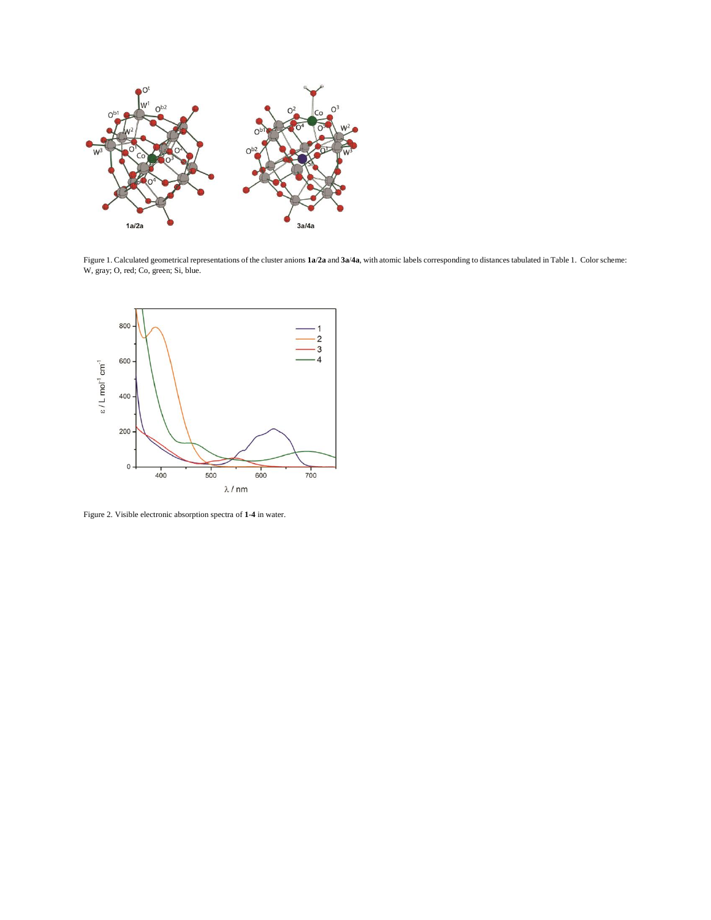

Figure 1. Calculated geometrical representations of the cluster anions **1a**/**2a** and **3a**/**4a**, with atomic labels corresponding to distances tabulated in Table 1. Color scheme: W, gray; O, red; Co, green; Si, blue.



Figure 2. Visible electronic absorption spectra of **1**-**4** in water.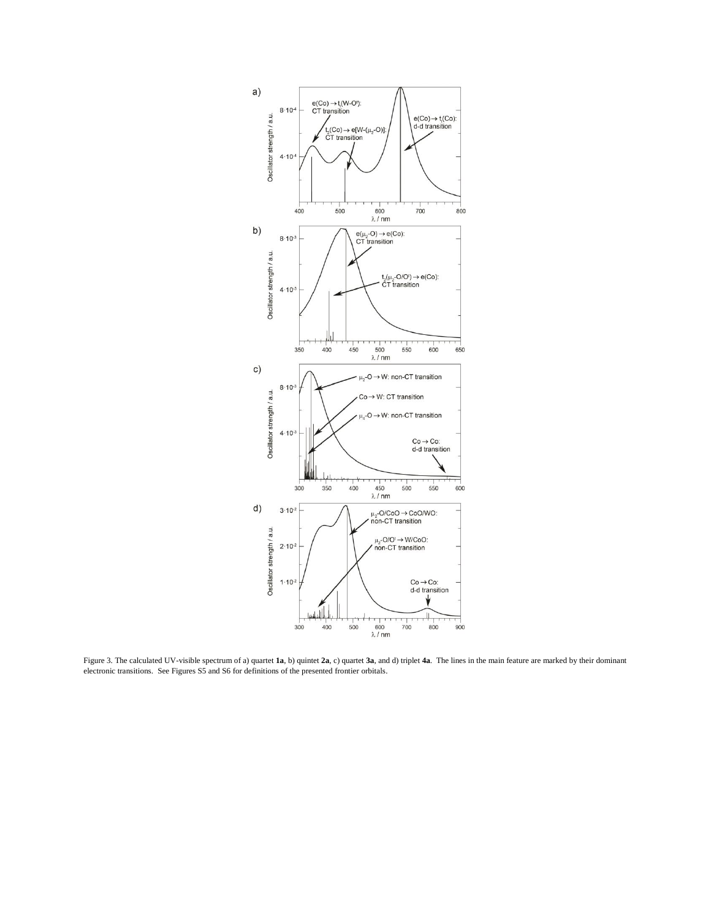

Figure 3. The calculated UV-visible spectrum of a) quartet **1a**, b) quintet **2a**, c) quartet **3a**, and d) triplet **4a**. The lines in the main feature are marked by their dominant electronic transitions. See Figures S5 and S6 for definitions of the presented frontier orbitals.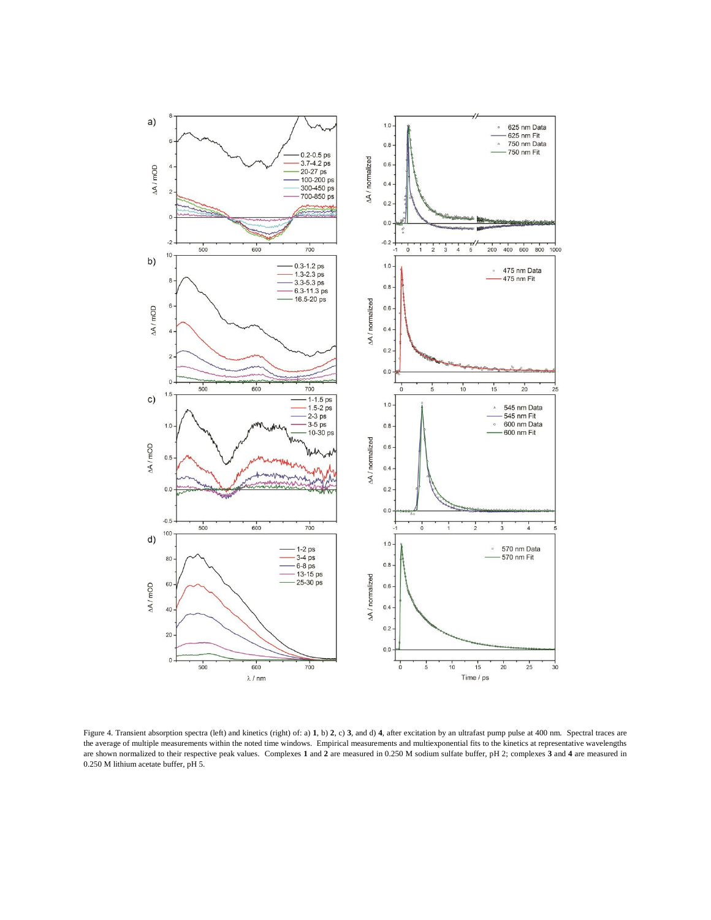

Figure 4. Transient absorption spectra (left) and kinetics (right) of: a) **1**, b) **2**, c) **3**, and d) **4**, after excitation by an ultrafast pump pulse at 400 nm. Spectral traces are the average of multiple measurements within the noted time windows. Empirical measurements and multiexponential fits to the kinetics at representative wavelengths are shown normalized to their respective peak values. Complexes **1** and **2** are measured in 0.250 M sodium sulfate buffer, pH 2; complexes **3** and **4** are measured in 0.250 M lithium acetate buffer, pH 5.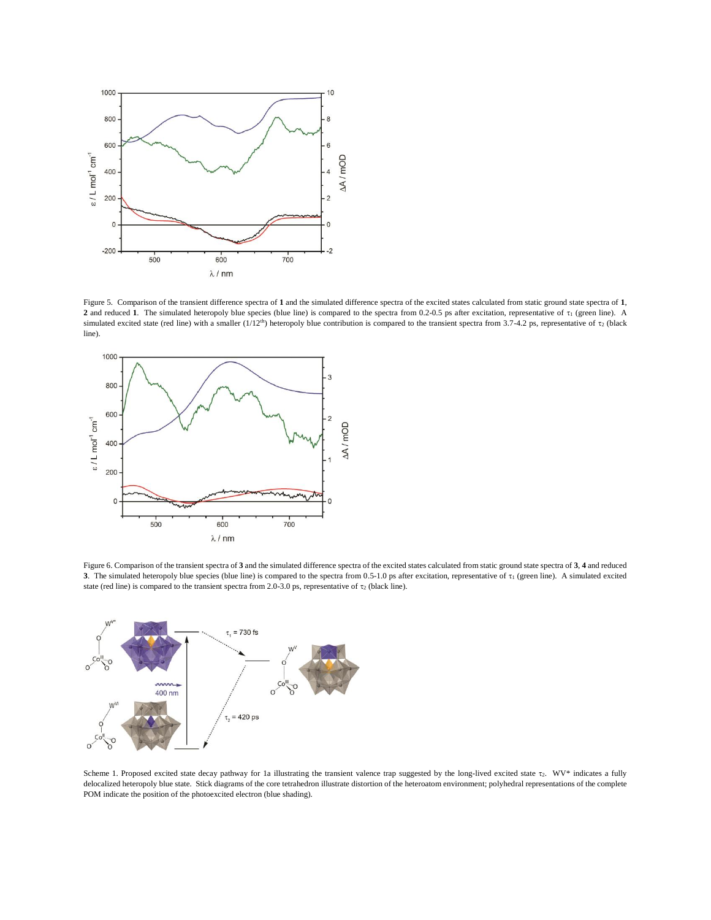

Figure 5. Comparison of the transient difference spectra of **1** and the simulated difference spectra of the excited states calculated from static ground state spectra of **1**, 2 and reduced 1. The simulated heteropoly blue species (blue line) is compared to the spectra from 0.2-0.5 ps after excitation, representative of  $\tau_1$  (green line). A simulated excited state (red line) with a smaller  $(1/12<sup>th</sup>)$  heteropoly blue contribution is compared to the transient spectra from 3.7-4.2 ps, representative of  $\tau_2$  (black line).



Figure 6. Comparison of the transient spectra of **3** and the simulated difference spectra of the excited states calculated from static ground state spectra of **3**, **4** and reduced **3**. The simulated heteropoly blue species (blue line) is compared to the spectra from 0.5-1.0 ps after excitation, representative of  $\tau_1$  (green line). A simulated excited state (red line) is compared to the transient spectra from 2.0-3.0 ps, representative of  $\tau_2$  (black line).



Scheme 1. Proposed excited state decay pathway for 1a illustrating the transient valence trap suggested by the long-lived excited state  $\tau$ . WV\* indicates a fully delocalized heteropoly blue state. Stick diagrams of the core tetrahedron illustrate distortion of the heteroatom environment; polyhedral representations of the complete POM indicate the position of the photoexcited electron (blue shading).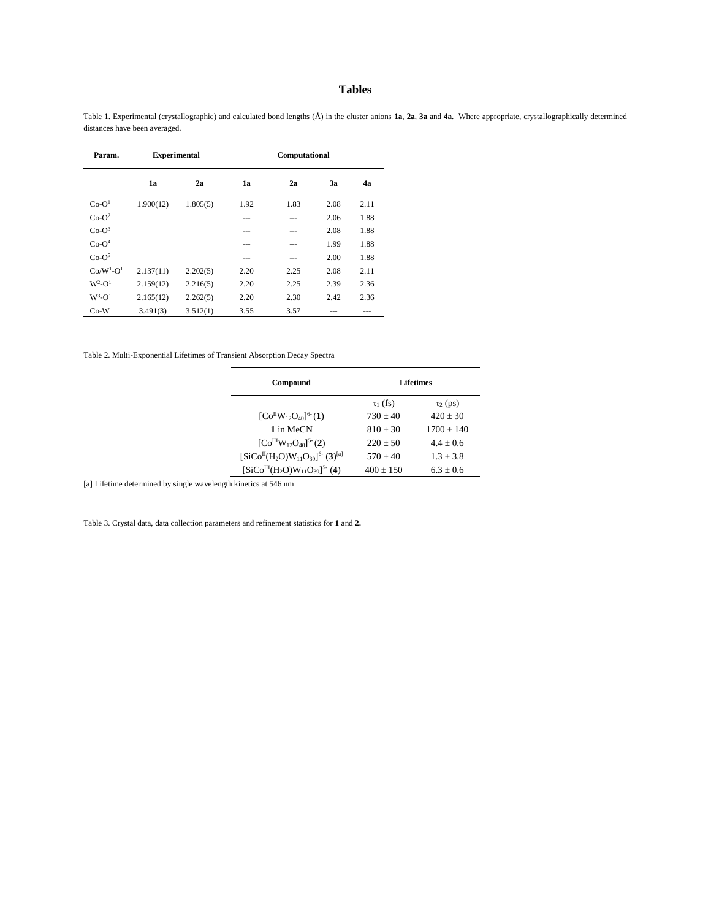## **Tables**

Table 1. Experimental (crystallographic) and calculated bond lengths (Å) in the cluster anions **1a**, **2a**, **3a** and **4a**. Where appropriate, crystallographically determined distances have been averaged.

| Param.        | <b>Experimental</b> |          | Computational |      |      |      |
|---------------|---------------------|----------|---------------|------|------|------|
|               | 1a                  | 2a       | 1a            | 2a   | 3a   | 4a   |
| $Co-O1$       | 1.900(12)           | 1.805(5) | 1.92          | 1.83 | 2.08 | 2.11 |
| $Co-O^2$      |                     |          | ---           | ---  | 2.06 | 1.88 |
| $Co-O3$       |                     |          | ---           | ---  | 2.08 | 1.88 |
| $Co-O4$       |                     |          | ---           | ---  | 1.99 | 1.88 |
| $Co-O5$       |                     |          | ---           | ---  | 2.00 | 1.88 |
| $Co/W1-O1$    | 2.137(11)           | 2.202(5) | 2.20          | 2.25 | 2.08 | 2.11 |
| $W^2$ - $O^1$ | 2.159(12)           | 2.216(5) | 2.20          | 2.25 | 2.39 | 2.36 |
| $W^3$ - $O^1$ | 2.165(12)           | 2.262(5) | 2.20          | 2.30 | 2.42 | 2.36 |
| $Co-W$        | 3.491(3)            | 3.512(1) | 3.55          | 3.57 | ---  | ---  |

Table 2. Multi-Exponential Lifetimes of Transient Absorption Decay Spectra

| Compound                                     | Lifetimes     |               |  |  |
|----------------------------------------------|---------------|---------------|--|--|
|                                              | $\tau_1$ (fs) | $\tau_2$ (ps) |  |  |
| $[CoHW12O40]^{6} (1)$                        | $730 + 40$    | $420 + 30$    |  |  |
| 1 in MeCN                                    | $810 + 30$    | $1700 + 140$  |  |  |
| $[Co^{III}W_{12}O_{40}]^{5}$ (2)             | $220 + 50$    | $4.4 + 0.6$   |  |  |
| $[SiCoH(H2O)W11O39]^{6-}$ (3) <sup>[a]</sup> | $570 + 40$    | $1.3 + 3.8$   |  |  |
| $[SiCo^{III}(H_2O)W_{11}O_{39}]^{5}$ (4)     | $400 + 150$   | $6.3 + 0.6$   |  |  |

[a] Lifetime determined by single wavelength kinetics at 546 nm

Table 3. Crystal data, data collection parameters and refinement statistics for **1** and **2.**